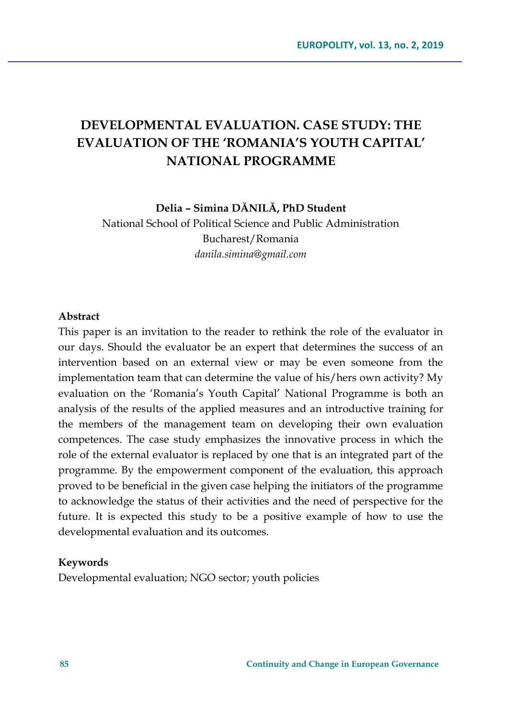# **DEVELOPMENTAL EVALUATION. CASE STUDY: THE EVALUATION OF THE 'ROMANIA'S YOUTH CAPITAL' NATIONAL PROGRAMME**

**Delia – Simina DĂNILĂ, PhD Student**

National School of Political Science and Public Administration Bucharest/Romania *danila.simina@gmail.com*

#### **Abstract**

This paper is an invitation to the reader to rethink the role of the evaluator in our days. Should the evaluator be an expert that determines the success of an intervention based on an external view or may be even someone from the implementation team that can determine the value of his/hers own activity? My evaluation on the 'Romania's Youth Capital' National Programme is both an analysis of the results of the applied measures and an introductive training for the members of the management team on developing their own evaluation competences. The case study emphasizes the innovative process in which the role of the external evaluator is replaced by one that is an integrated part of the programme. By the empowerment component of the evaluation, this approach proved to be beneficial in the given case helping the initiators of the programme to acknowledge the status of their activities and the need of perspective for the future. It is expected this study to be a positive example of how to use the developmental evaluation and its outcomes.

#### **Keywords**

Developmental evaluation; NGO sector; youth policies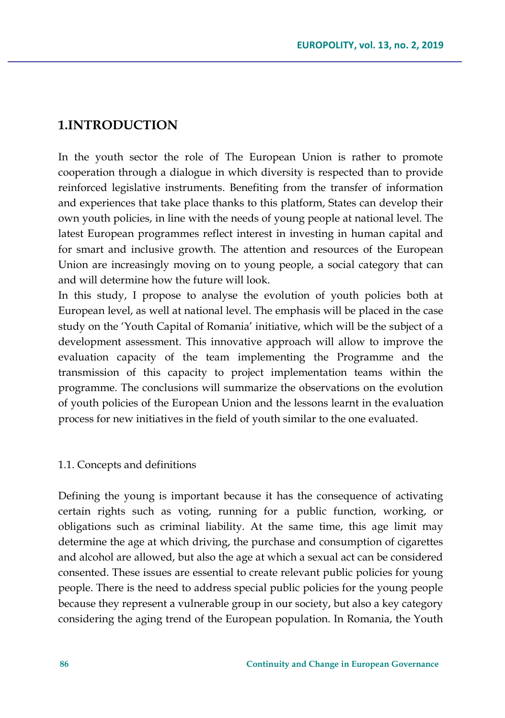# **1.INTRODUCTION**

In the youth sector the role of The European Union is rather to promote cooperation through a dialogue in which diversity is respected than to provide reinforced legislative instruments. Benefiting from the transfer of information and experiences that take place thanks to this platform, States can develop their own youth policies, in line with the needs of young people at national level. The latest European programmes reflect interest in investing in human capital and for smart and inclusive growth. The attention and resources of the European Union are increasingly moving on to young people, a social category that can and will determine how the future will look.

In this study, I propose to analyse the evolution of youth policies both at European level, as well at national level. The emphasis will be placed in the case study on the 'Youth Capital of Romania' initiative, which will be the subject of a development assessment. This innovative approach will allow to improve the evaluation capacity of the team implementing the Programme and the transmission of this capacity to project implementation teams within the programme. The conclusions will summarize the observations on the evolution of youth policies of the European Union and the lessons learnt in the evaluation process for new initiatives in the field of youth similar to the one evaluated.

## 1.1. Concepts and definitions

Defining the young is important because it has the consequence of activating certain rights such as voting, running for a public function, working, or obligations such as criminal liability. At the same time, this age limit may determine the age at which driving, the purchase and consumption of cigarettes and alcohol are allowed, but also the age at which a sexual act can be considered consented. These issues are essential to create relevant public policies for young people. There is the need to address special public policies for the young people because they represent a vulnerable group in our society, but also a key category considering the aging trend of the European population. In Romania, the Youth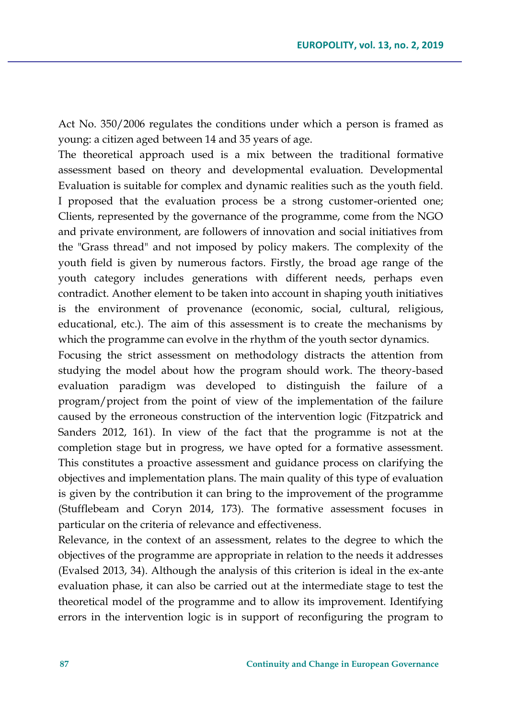Act No. 350/2006 regulates the conditions under which a person is framed as young: a citizen aged between 14 and 35 years of age.

The theoretical approach used is a mix between the traditional formative assessment based on theory and developmental evaluation. Developmental Evaluation is suitable for complex and dynamic realities such as the youth field. I proposed that the evaluation process be a strong customer-oriented one; Clients, represented by the governance of the programme, come from the NGO and private environment, are followers of innovation and social initiatives from the "Grass thread" and not imposed by policy makers. The complexity of the youth field is given by numerous factors. Firstly, the broad age range of the youth category includes generations with different needs, perhaps even contradict. Another element to be taken into account in shaping youth initiatives is the environment of provenance (economic, social, cultural, religious, educational, etc.). The aim of this assessment is to create the mechanisms by which the programme can evolve in the rhythm of the youth sector dynamics.

Focusing the strict assessment on methodology distracts the attention from studying the model about how the program should work. The theory-based evaluation paradigm was developed to distinguish the failure of a program/project from the point of view of the implementation of the failure caused by the erroneous construction of the intervention logic (Fitzpatrick and Sanders 2012, 161). In view of the fact that the programme is not at the completion stage but in progress, we have opted for a formative assessment. This constitutes a proactive assessment and guidance process on clarifying the objectives and implementation plans. The main quality of this type of evaluation is given by the contribution it can bring to the improvement of the programme (Stufflebeam and Coryn 2014, 173). The formative assessment focuses in particular on the criteria of relevance and effectiveness.

Relevance, in the context of an assessment, relates to the degree to which the objectives of the programme are appropriate in relation to the needs it addresses (Evalsed 2013, 34). Although the analysis of this criterion is ideal in the ex-ante evaluation phase, it can also be carried out at the intermediate stage to test the theoretical model of the programme and to allow its improvement. Identifying errors in the intervention logic is in support of reconfiguring the program to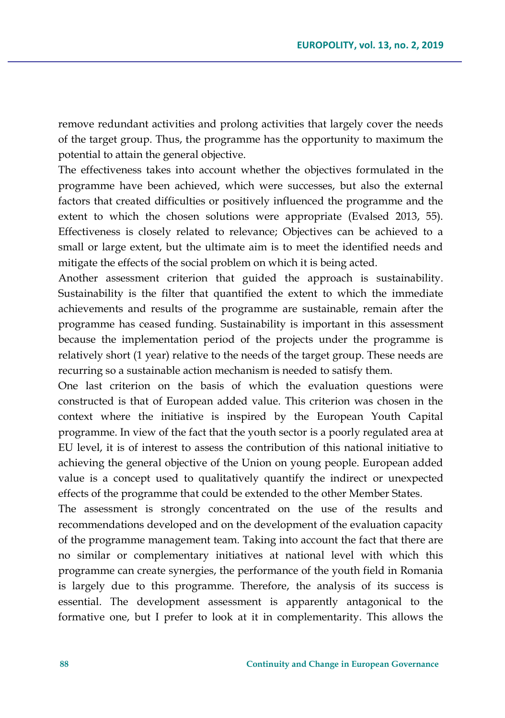remove redundant activities and prolong activities that largely cover the needs of the target group. Thus, the programme has the opportunity to maximum the potential to attain the general objective.

The effectiveness takes into account whether the objectives formulated in the programme have been achieved, which were successes, but also the external factors that created difficulties or positively influenced the programme and the extent to which the chosen solutions were appropriate (Evalsed 2013, 55). Effectiveness is closely related to relevance; Objectives can be achieved to a small or large extent, but the ultimate aim is to meet the identified needs and mitigate the effects of the social problem on which it is being acted.

Another assessment criterion that guided the approach is sustainability. Sustainability is the filter that quantified the extent to which the immediate achievements and results of the programme are sustainable, remain after the programme has ceased funding. Sustainability is important in this assessment because the implementation period of the projects under the programme is relatively short (1 year) relative to the needs of the target group. These needs are recurring so a sustainable action mechanism is needed to satisfy them.

One last criterion on the basis of which the evaluation questions were constructed is that of European added value. This criterion was chosen in the context where the initiative is inspired by the European Youth Capital programme. In view of the fact that the youth sector is a poorly regulated area at EU level, it is of interest to assess the contribution of this national initiative to achieving the general objective of the Union on young people. European added value is a concept used to qualitatively quantify the indirect or unexpected effects of the programme that could be extended to the other Member States.

The assessment is strongly concentrated on the use of the results and recommendations developed and on the development of the evaluation capacity of the programme management team. Taking into account the fact that there are no similar or complementary initiatives at national level with which this programme can create synergies, the performance of the youth field in Romania is largely due to this programme. Therefore, the analysis of its success is essential. The development assessment is apparently antagonical to the formative one, but I prefer to look at it in complementarity. This allows the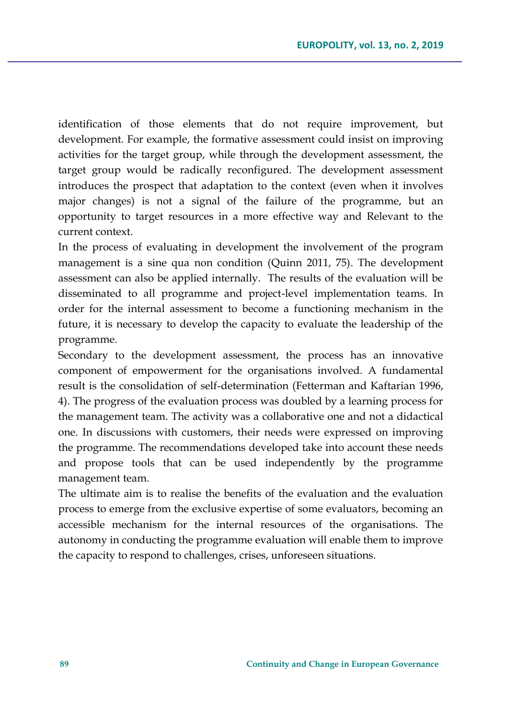identification of those elements that do not require improvement, but development. For example, the formative assessment could insist on improving activities for the target group, while through the development assessment, the target group would be radically reconfigured. The development assessment introduces the prospect that adaptation to the context (even when it involves major changes) is not a signal of the failure of the programme, but an opportunity to target resources in a more effective way and Relevant to the current context.

In the process of evaluating in development the involvement of the program management is a sine qua non condition (Quinn 2011, 75). The development assessment can also be applied internally. The results of the evaluation will be disseminated to all programme and project-level implementation teams. In order for the internal assessment to become a functioning mechanism in the future, it is necessary to develop the capacity to evaluate the leadership of the programme.

Secondary to the development assessment, the process has an innovative component of empowerment for the organisations involved. A fundamental result is the consolidation of self-determination (Fetterman and Kaftarian 1996, 4). The progress of the evaluation process was doubled by a learning process for the management team. The activity was a collaborative one and not a didactical one. In discussions with customers, their needs were expressed on improving the programme. The recommendations developed take into account these needs and propose tools that can be used independently by the programme management team.

The ultimate aim is to realise the benefits of the evaluation and the evaluation process to emerge from the exclusive expertise of some evaluators, becoming an accessible mechanism for the internal resources of the organisations. The autonomy in conducting the programme evaluation will enable them to improve the capacity to respond to challenges, crises, unforeseen situations.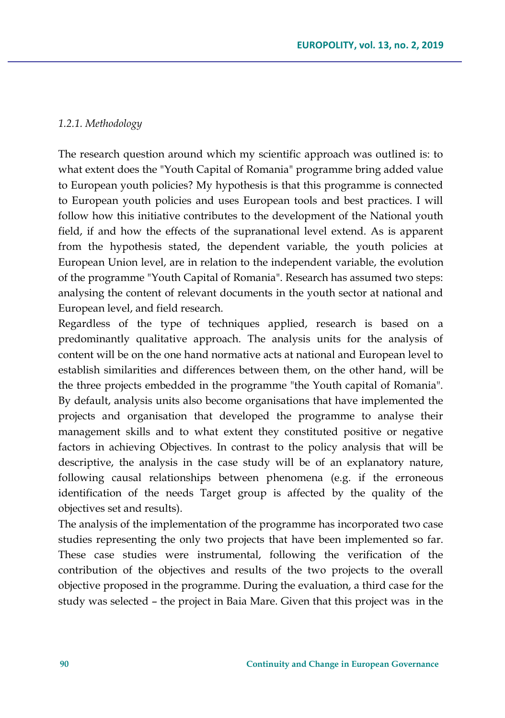### *1.2.1. Methodology*

The research question around which my scientific approach was outlined is: to what extent does the "Youth Capital of Romania" programme bring added value to European youth policies? My hypothesis is that this programme is connected to European youth policies and uses European tools and best practices. I will follow how this initiative contributes to the development of the National youth field, if and how the effects of the supranational level extend. As is apparent from the hypothesis stated, the dependent variable, the youth policies at European Union level, are in relation to the independent variable, the evolution of the programme "Youth Capital of Romania". Research has assumed two steps: analysing the content of relevant documents in the youth sector at national and European level, and field research.

Regardless of the type of techniques applied, research is based on a predominantly qualitative approach. The analysis units for the analysis of content will be on the one hand normative acts at national and European level to establish similarities and differences between them, on the other hand, will be the three projects embedded in the programme "the Youth capital of Romania". By default, analysis units also become organisations that have implemented the projects and organisation that developed the programme to analyse their management skills and to what extent they constituted positive or negative factors in achieving Objectives. In contrast to the policy analysis that will be descriptive, the analysis in the case study will be of an explanatory nature, following causal relationships between phenomena (e.g. if the erroneous identification of the needs Target group is affected by the quality of the objectives set and results).

The analysis of the implementation of the programme has incorporated two case studies representing the only two projects that have been implemented so far. These case studies were instrumental, following the verification of the contribution of the objectives and results of the two projects to the overall objective proposed in the programme. During the evaluation, a third case for the study was selected – the project in Baia Mare. Given that this project was in the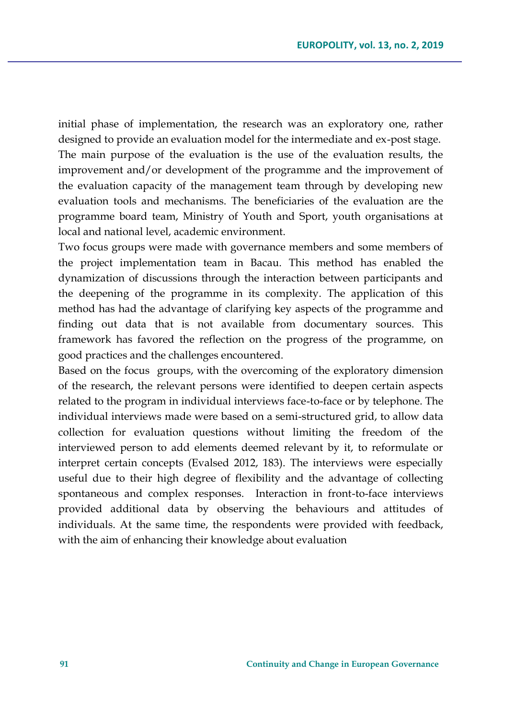initial phase of implementation, the research was an exploratory one, rather designed to provide an evaluation model for the intermediate and ex-post stage. The main purpose of the evaluation is the use of the evaluation results, the improvement and/or development of the programme and the improvement of the evaluation capacity of the management team through by developing new evaluation tools and mechanisms. The beneficiaries of the evaluation are the programme board team, Ministry of Youth and Sport, youth organisations at local and national level, academic environment.

Two focus groups were made with governance members and some members of the project implementation team in Bacau. This method has enabled the dynamization of discussions through the interaction between participants and the deepening of the programme in its complexity. The application of this method has had the advantage of clarifying key aspects of the programme and finding out data that is not available from documentary sources. This framework has favored the reflection on the progress of the programme, on good practices and the challenges encountered.

Based on the focus groups, with the overcoming of the exploratory dimension of the research, the relevant persons were identified to deepen certain aspects related to the program in individual interviews face-to-face or by telephone. The individual interviews made were based on a semi-structured grid, to allow data collection for evaluation questions without limiting the freedom of the interviewed person to add elements deemed relevant by it, to reformulate or interpret certain concepts (Evalsed 2012, 183). The interviews were especially useful due to their high degree of flexibility and the advantage of collecting spontaneous and complex responses. Interaction in front-to-face interviews provided additional data by observing the behaviours and attitudes of individuals. At the same time, the respondents were provided with feedback, with the aim of enhancing their knowledge about evaluation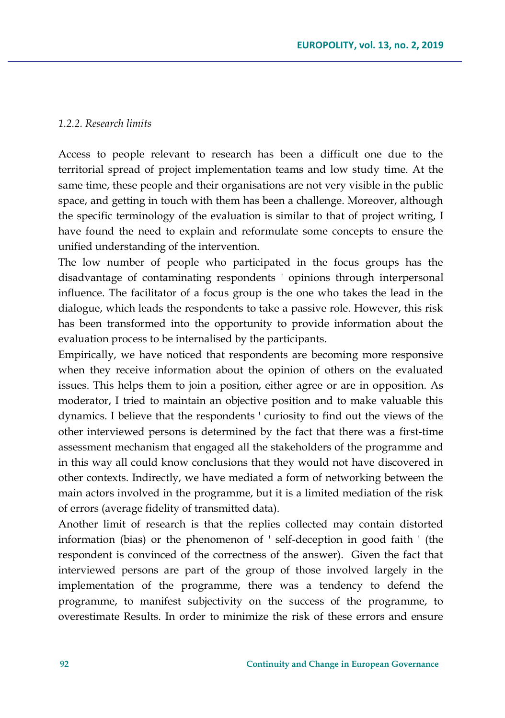#### *1.2.2. Research limits*

Access to people relevant to research has been a difficult one due to the territorial spread of project implementation teams and low study time. At the same time, these people and their organisations are not very visible in the public space, and getting in touch with them has been a challenge. Moreover, although the specific terminology of the evaluation is similar to that of project writing, I have found the need to explain and reformulate some concepts to ensure the unified understanding of the intervention.

The low number of people who participated in the focus groups has the disadvantage of contaminating respondents ' opinions through interpersonal influence. The facilitator of a focus group is the one who takes the lead in the dialogue, which leads the respondents to take a passive role. However, this risk has been transformed into the opportunity to provide information about the evaluation process to be internalised by the participants.

Empirically, we have noticed that respondents are becoming more responsive when they receive information about the opinion of others on the evaluated issues. This helps them to join a position, either agree or are in opposition. As moderator, I tried to maintain an objective position and to make valuable this dynamics. I believe that the respondents ' curiosity to find out the views of the other interviewed persons is determined by the fact that there was a first-time assessment mechanism that engaged all the stakeholders of the programme and in this way all could know conclusions that they would not have discovered in other contexts. Indirectly, we have mediated a form of networking between the main actors involved in the programme, but it is a limited mediation of the risk of errors (average fidelity of transmitted data).

Another limit of research is that the replies collected may contain distorted information (bias) or the phenomenon of ' self-deception in good faith ' (the respondent is convinced of the correctness of the answer). Given the fact that interviewed persons are part of the group of those involved largely in the implementation of the programme, there was a tendency to defend the programme, to manifest subjectivity on the success of the programme, to overestimate Results. In order to minimize the risk of these errors and ensure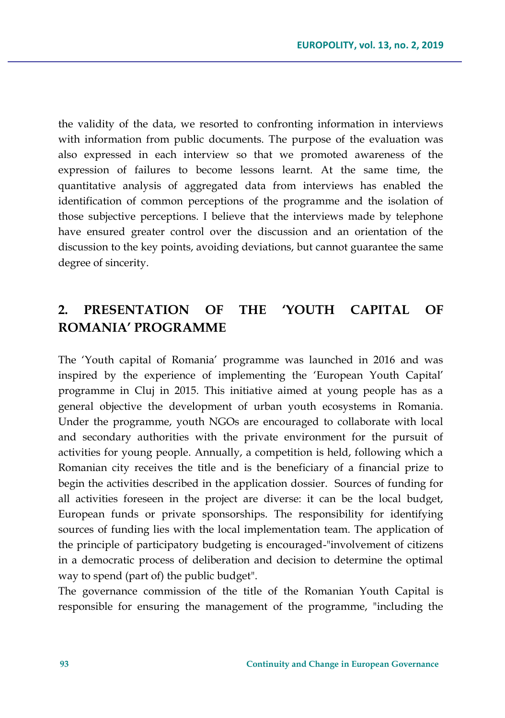the validity of the data, we resorted to confronting information in interviews with information from public documents. The purpose of the evaluation was also expressed in each interview so that we promoted awareness of the expression of failures to become lessons learnt. At the same time, the quantitative analysis of aggregated data from interviews has enabled the identification of common perceptions of the programme and the isolation of those subjective perceptions. I believe that the interviews made by telephone have ensured greater control over the discussion and an orientation of the discussion to the key points, avoiding deviations, but cannot guarantee the same degree of sincerity.

# **2. PRESENTATION OF THE 'YOUTH CAPITAL OF ROMANIA' PROGRAMME**

The 'Youth capital of Romania' programme was launched in 2016 and was inspired by the experience of implementing the 'European Youth Capital' programme in Cluj in 2015. This initiative aimed at young people has as a general objective the development of urban youth ecosystems in Romania. Under the programme, youth NGOs are encouraged to collaborate with local and secondary authorities with the private environment for the pursuit of activities for young people. Annually, a competition is held, following which a Romanian city receives the title and is the beneficiary of a financial prize to begin the activities described in the application dossier. Sources of funding for all activities foreseen in the project are diverse: it can be the local budget, European funds or private sponsorships. The responsibility for identifying sources of funding lies with the local implementation team. The application of the principle of participatory budgeting is encouraged-"involvement of citizens in a democratic process of deliberation and decision to determine the optimal way to spend (part of) the public budget".

The governance commission of the title of the Romanian Youth Capital is responsible for ensuring the management of the programme, "including the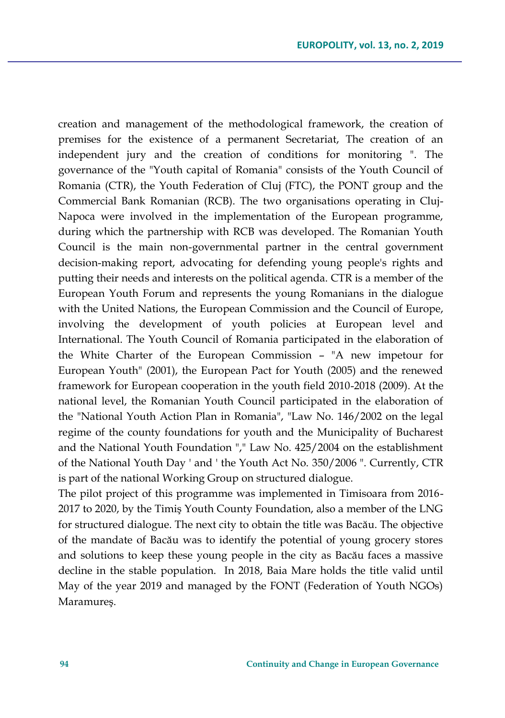creation and management of the methodological framework, the creation of premises for the existence of a permanent Secretariat, The creation of an independent jury and the creation of conditions for monitoring ". The governance of the "Youth capital of Romania" consists of the Youth Council of Romania (CTR), the Youth Federation of Cluj (FTC), the PONT group and the Commercial Bank Romanian (RCB). The two organisations operating in Cluj-Napoca were involved in the implementation of the European programme, during which the partnership with RCB was developed. The Romanian Youth Council is the main non-governmental partner in the central government decision-making report, advocating for defending young people's rights and putting their needs and interests on the political agenda. CTR is a member of the European Youth Forum and represents the young Romanians in the dialogue with the United Nations, the European Commission and the Council of Europe, involving the development of youth policies at European level and International. The Youth Council of Romania participated in the elaboration of the White Charter of the European Commission – "A new impetour for European Youth" (2001), the European Pact for Youth (2005) and the renewed framework for European cooperation in the youth field 2010-2018 (2009). At the national level, the Romanian Youth Council participated in the elaboration of the "National Youth Action Plan in Romania", "Law No. 146/2002 on the legal regime of the county foundations for youth and the Municipality of Bucharest and the National Youth Foundation "," Law No. 425/2004 on the establishment of the National Youth Day ' and ' the Youth Act No. 350/2006 ". Currently, CTR is part of the national Working Group on structured dialogue.

The pilot project of this programme was implemented in Timisoara from 2016- 2017 to 2020, by the Timiş Youth County Foundation, also a member of the LNG for structured dialogue. The next city to obtain the title was Bacău. The objective of the mandate of Bacău was to identify the potential of young grocery stores and solutions to keep these young people in the city as Bacău faces a massive decline in the stable population. In 2018, Baia Mare holds the title valid until May of the year 2019 and managed by the FONT (Federation of Youth NGOs) Maramureş.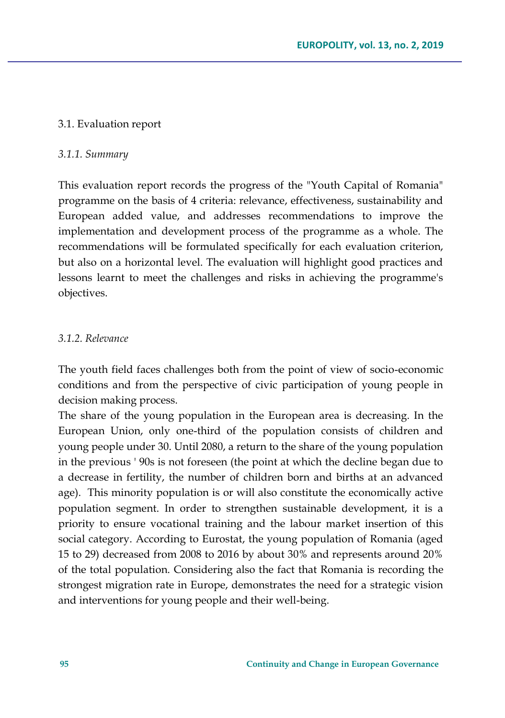## 3.1. Evaluation report

## *3.1.1. Summary*

This evaluation report records the progress of the "Youth Capital of Romania" programme on the basis of 4 criteria: relevance, effectiveness, sustainability and European added value, and addresses recommendations to improve the implementation and development process of the programme as a whole. The recommendations will be formulated specifically for each evaluation criterion, but also on a horizontal level. The evaluation will highlight good practices and lessons learnt to meet the challenges and risks in achieving the programme's objectives.

### *3.1.2. Relevance*

The youth field faces challenges both from the point of view of socio-economic conditions and from the perspective of civic participation of young people in decision making process.

The share of the young population in the European area is decreasing. In the European Union, only one-third of the population consists of children and young people under 30. Until 2080, a return to the share of the young population in the previous ' 90s is not foreseen (the point at which the decline began due to a decrease in fertility, the number of children born and births at an advanced age). This minority population is or will also constitute the economically active population segment. In order to strengthen sustainable development, it is a priority to ensure vocational training and the labour market insertion of this social category. According to Eurostat, the young population of Romania (aged 15 to 29) decreased from 2008 to 2016 by about 30% and represents around 20% of the total population. Considering also the fact that Romania is recording the strongest migration rate in Europe, demonstrates the need for a strategic vision and interventions for young people and their well-being.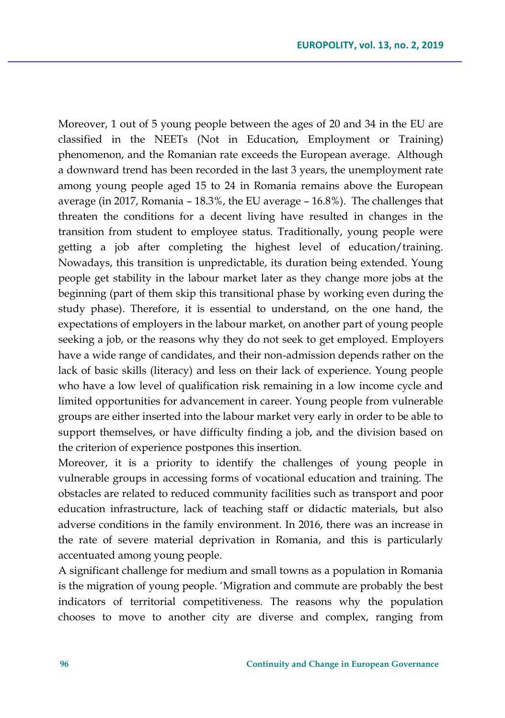Moreover, 1 out of 5 young people between the ages of 20 and 34 in the EU are classified in the NEETs (Not in Education, Employment or Training) phenomenon, and the Romanian rate exceeds the European average. Although a downward trend has been recorded in the last 3 years, the unemployment rate among young people aged 15 to 24 in Romania remains above the European average (in 2017, Romania – 18.3%, the EU average – 16.8%). The challenges that threaten the conditions for a decent living have resulted in changes in the transition from student to employee status. Traditionally, young people were getting a job after completing the highest level of education/training. Nowadays, this transition is unpredictable, its duration being extended. Young people get stability in the labour market later as they change more jobs at the beginning (part of them skip this transitional phase by working even during the study phase). Therefore, it is essential to understand, on the one hand, the expectations of employers in the labour market, on another part of young people seeking a job, or the reasons why they do not seek to get employed. Employers have a wide range of candidates, and their non-admission depends rather on the lack of basic skills (literacy) and less on their lack of experience. Young people who have a low level of qualification risk remaining in a low income cycle and limited opportunities for advancement in career. Young people from vulnerable groups are either inserted into the labour market very early in order to be able to support themselves, or have difficulty finding a job, and the division based on the criterion of experience postpones this insertion.

Moreover, it is a priority to identify the challenges of young people in vulnerable groups in accessing forms of vocational education and training. The obstacles are related to reduced community facilities such as transport and poor education infrastructure, lack of teaching staff or didactic materials, but also adverse conditions in the family environment. In 2016, there was an increase in the rate of severe material deprivation in Romania, and this is particularly accentuated among young people.

A significant challenge for medium and small towns as a population in Romania is the migration of young people. 'Migration and commute are probably the best indicators of territorial competitiveness. The reasons why the population chooses to move to another city are diverse and complex, ranging from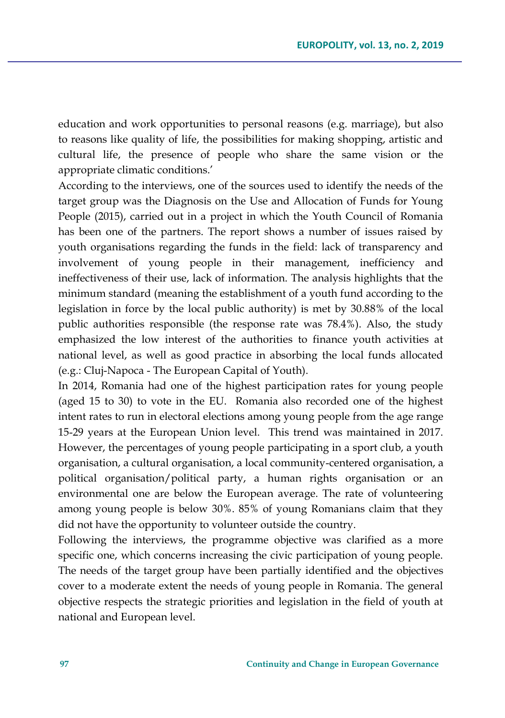education and work opportunities to personal reasons (e.g. marriage), but also to reasons like quality of life, the possibilities for making shopping, artistic and cultural life, the presence of people who share the same vision or the appropriate climatic conditions.'

According to the interviews, one of the sources used to identify the needs of the target group was the Diagnosis on the Use and Allocation of Funds for Young People (2015), carried out in a project in which the Youth Council of Romania has been one of the partners. The report shows a number of issues raised by youth organisations regarding the funds in the field: lack of transparency and involvement of young people in their management, inefficiency and ineffectiveness of their use, lack of information. The analysis highlights that the minimum standard (meaning the establishment of a youth fund according to the legislation in force by the local public authority) is met by 30.88% of the local public authorities responsible (the response rate was 78.4%). Also, the study emphasized the low interest of the authorities to finance youth activities at national level, as well as good practice in absorbing the local funds allocated (e.g.: Cluj-Napoca - The European Capital of Youth).

In 2014, Romania had one of the highest participation rates for young people (aged 15 to 30) to vote in the EU. Romania also recorded one of the highest intent rates to run in electoral elections among young people from the age range 15-29 years at the European Union level. This trend was maintained in 2017. However, the percentages of young people participating in a sport club, a youth organisation, a cultural organisation, a local community-centered organisation, a political organisation/political party, a human rights organisation or an environmental one are below the European average. The rate of volunteering among young people is below 30%. 85% of young Romanians claim that they did not have the opportunity to volunteer outside the country.

Following the interviews, the programme objective was clarified as a more specific one, which concerns increasing the civic participation of young people. The needs of the target group have been partially identified and the objectives cover to a moderate extent the needs of young people in Romania. The general objective respects the strategic priorities and legislation in the field of youth at national and European level.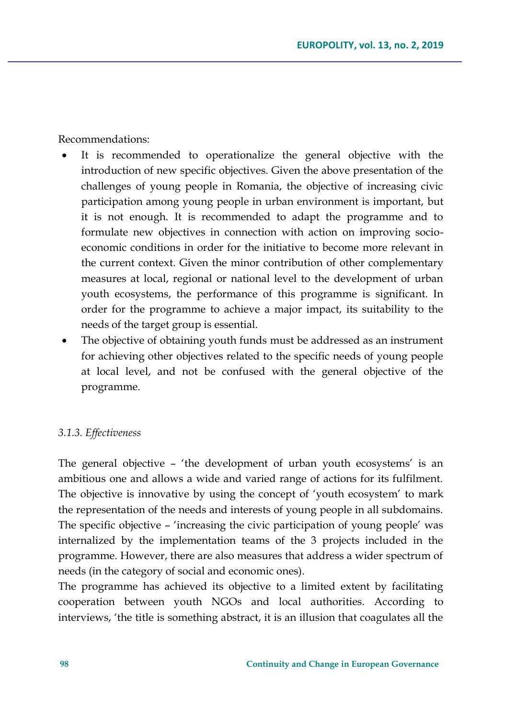Recommendations:

- It is recommended to operationalize the general objective with the introduction of new specific objectives. Given the above presentation of the challenges of young people in Romania, the objective of increasing civic participation among young people in urban environment is important, but it is not enough. It is recommended to adapt the programme and to formulate new objectives in connection with action on improving socioeconomic conditions in order for the initiative to become more relevant in the current context. Given the minor contribution of other complementary measures at local, regional or national level to the development of urban youth ecosystems, the performance of this programme is significant. In order for the programme to achieve a major impact, its suitability to the needs of the target group is essential.
- The objective of obtaining youth funds must be addressed as an instrument for achieving other objectives related to the specific needs of young people at local level, and not be confused with the general objective of the programme.

#### *3.1.3. Effectiveness*

The general objective – 'the development of urban youth ecosystems' is an ambitious one and allows a wide and varied range of actions for its fulfilment. The objective is innovative by using the concept of 'youth ecosystem' to mark the representation of the needs and interests of young people in all subdomains. The specific objective – 'increasing the civic participation of young people' was internalized by the implementation teams of the 3 projects included in the programme. However, there are also measures that address a wider spectrum of needs (in the category of social and economic ones).

The programme has achieved its objective to a limited extent by facilitating cooperation between youth NGOs and local authorities. According to interviews, 'the title is something abstract, it is an illusion that coagulates all the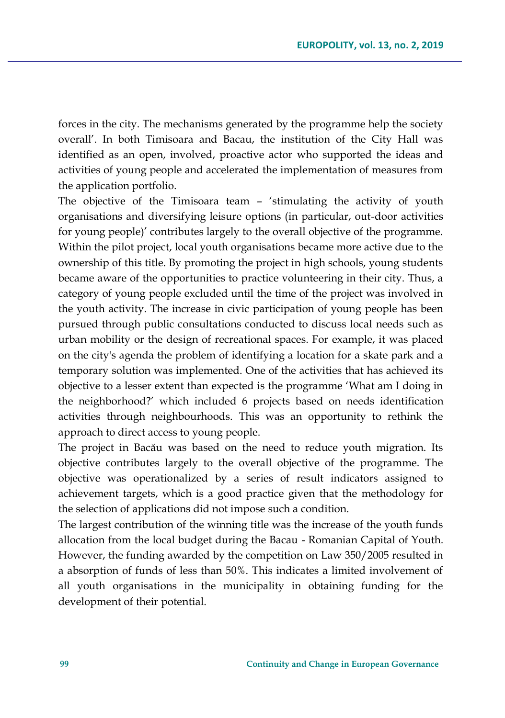forces in the city. The mechanisms generated by the programme help the society overall'. In both Timisoara and Bacau, the institution of the City Hall was identified as an open, involved, proactive actor who supported the ideas and activities of young people and accelerated the implementation of measures from the application portfolio.

The objective of the Timisoara team – 'stimulating the activity of youth organisations and diversifying leisure options (in particular, out-door activities for young people)' contributes largely to the overall objective of the programme. Within the pilot project, local youth organisations became more active due to the ownership of this title. By promoting the project in high schools, young students became aware of the opportunities to practice volunteering in their city. Thus, a category of young people excluded until the time of the project was involved in the youth activity. The increase in civic participation of young people has been pursued through public consultations conducted to discuss local needs such as urban mobility or the design of recreational spaces. For example, it was placed on the city's agenda the problem of identifying a location for a skate park and a temporary solution was implemented. One of the activities that has achieved its objective to a lesser extent than expected is the programme 'What am I doing in the neighborhood?' which included 6 projects based on needs identification activities through neighbourhoods. This was an opportunity to rethink the approach to direct access to young people.

The project in Bacău was based on the need to reduce youth migration. Its objective contributes largely to the overall objective of the programme. The objective was operationalized by a series of result indicators assigned to achievement targets, which is a good practice given that the methodology for the selection of applications did not impose such a condition.

The largest contribution of the winning title was the increase of the youth funds allocation from the local budget during the Bacau - Romanian Capital of Youth. However, the funding awarded by the competition on Law 350/2005 resulted in a absorption of funds of less than 50%. This indicates a limited involvement of all youth organisations in the municipality in obtaining funding for the development of their potential.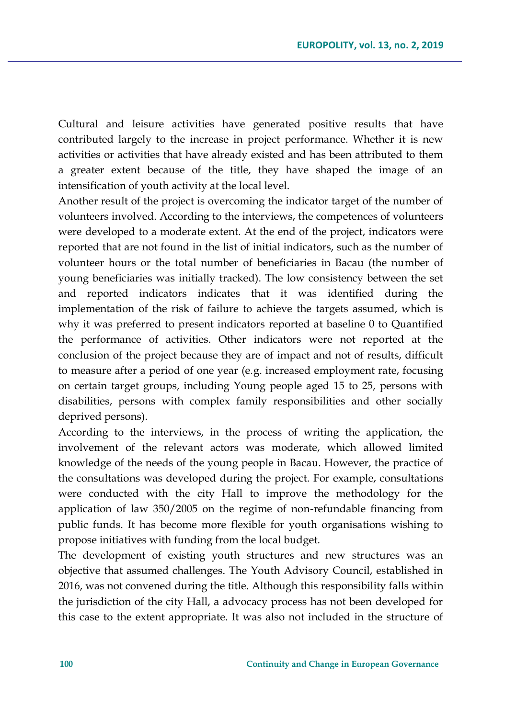Cultural and leisure activities have generated positive results that have contributed largely to the increase in project performance. Whether it is new activities or activities that have already existed and has been attributed to them a greater extent because of the title, they have shaped the image of an intensification of youth activity at the local level.

Another result of the project is overcoming the indicator target of the number of volunteers involved. According to the interviews, the competences of volunteers were developed to a moderate extent. At the end of the project, indicators were reported that are not found in the list of initial indicators, such as the number of volunteer hours or the total number of beneficiaries in Bacau (the number of young beneficiaries was initially tracked). The low consistency between the set and reported indicators indicates that it was identified during the implementation of the risk of failure to achieve the targets assumed, which is why it was preferred to present indicators reported at baseline 0 to Quantified the performance of activities. Other indicators were not reported at the conclusion of the project because they are of impact and not of results, difficult to measure after a period of one year (e.g. increased employment rate, focusing on certain target groups, including Young people aged 15 to 25, persons with disabilities, persons with complex family responsibilities and other socially deprived persons).

According to the interviews, in the process of writing the application, the involvement of the relevant actors was moderate, which allowed limited knowledge of the needs of the young people in Bacau. However, the practice of the consultations was developed during the project. For example, consultations were conducted with the city Hall to improve the methodology for the application of law 350/2005 on the regime of non-refundable financing from public funds. It has become more flexible for youth organisations wishing to propose initiatives with funding from the local budget.

The development of existing youth structures and new structures was an objective that assumed challenges. The Youth Advisory Council, established in 2016, was not convened during the title. Although this responsibility falls within the jurisdiction of the city Hall, a advocacy process has not been developed for this case to the extent appropriate. It was also not included in the structure of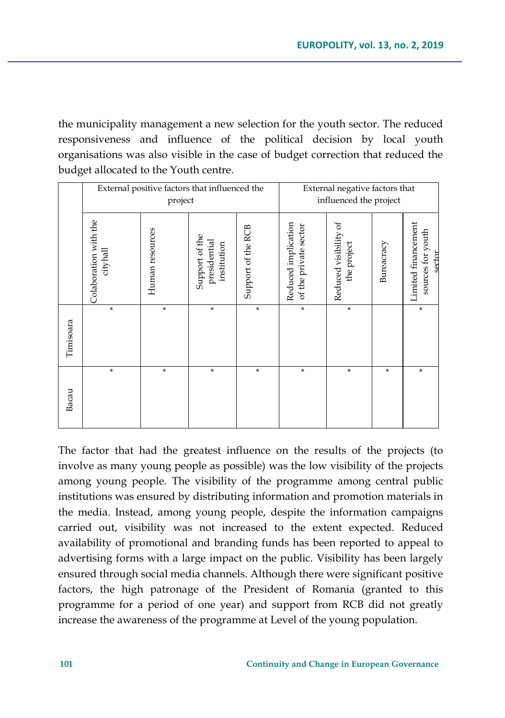the municipality management a new selection for the youth sector. The reduced responsiveness and influence of the political decision by local youth organisations was also visible in the case of budget correction that reduced the budget allocated to the Youth centre.

|           | External positive factors that influenced the<br>project |                 |                                               |                    | External negative factors that<br>influenced the project |                                      |            |                                                    |
|-----------|----------------------------------------------------------|-----------------|-----------------------------------------------|--------------------|----------------------------------------------------------|--------------------------------------|------------|----------------------------------------------------|
|           | Colaboration with the<br>cityhall                        | Human resources | Support of the<br>presidential<br>institution | Support of the RCB | Reduced implication<br>of the private sector             | Reduced visibility of<br>the project | Bureacracy | Limited financement<br>sources for youth<br>sector |
| Timisoara | $\star$                                                  | $\star$         | *                                             | $\star$            | $\star$                                                  | $\star$                              |            | *                                                  |
| Bacau     | *                                                        | $\star$         | *                                             | *                  | $\star$                                                  | *                                    | *          | $^\star$                                           |

The factor that had the greatest influence on the results of the projects (to involve as many young people as possible) was the low visibility of the projects among young people. The visibility of the programme among central public institutions was ensured by distributing information and promotion materials in the media. Instead, among young people, despite the information campaigns carried out, visibility was not increased to the extent expected. Reduced availability of promotional and branding funds has been reported to appeal to advertising forms with a large impact on the public. Visibility has been largely ensured through social media channels. Although there were significant positive factors, the high patronage of the President of Romania (granted to this programme for a period of one year) and support from RCB did not greatly increase the awareness of the programme at Level of the young population.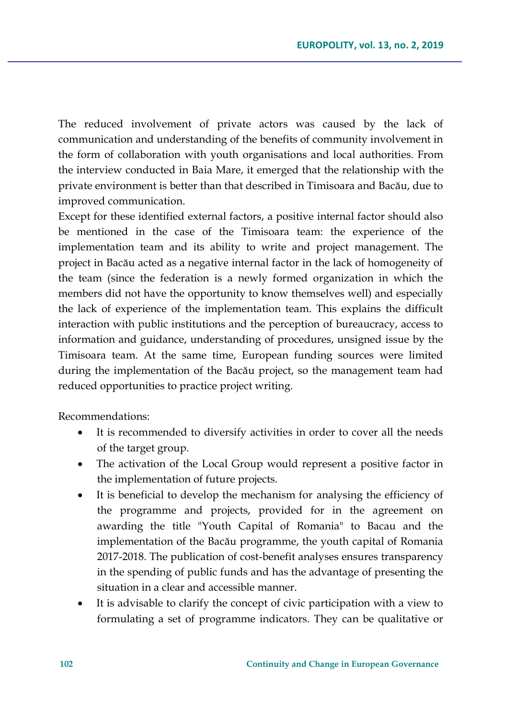The reduced involvement of private actors was caused by the lack of communication and understanding of the benefits of community involvement in the form of collaboration with youth organisations and local authorities. From the interview conducted in Baia Mare, it emerged that the relationship with the private environment is better than that described in Timisoara and Bacău, due to improved communication.

Except for these identified external factors, a positive internal factor should also be mentioned in the case of the Timisoara team: the experience of the implementation team and its ability to write and project management. The project in Bacău acted as a negative internal factor in the lack of homogeneity of the team (since the federation is a newly formed organization in which the members did not have the opportunity to know themselves well) and especially the lack of experience of the implementation team. This explains the difficult interaction with public institutions and the perception of bureaucracy, access to information and guidance, understanding of procedures, unsigned issue by the Timisoara team. At the same time, European funding sources were limited during the implementation of the Bacău project, so the management team had reduced opportunities to practice project writing.

Recommendations:

- It is recommended to diversify activities in order to cover all the needs of the target group.
- The activation of the Local Group would represent a positive factor in the implementation of future projects.
- It is beneficial to develop the mechanism for analysing the efficiency of the programme and projects, provided for in the agreement on awarding the title "Youth Capital of Romania" to Bacau and the implementation of the Bacău programme, the youth capital of Romania 2017-2018. The publication of cost-benefit analyses ensures transparency in the spending of public funds and has the advantage of presenting the situation in a clear and accessible manner.
- It is advisable to clarify the concept of civic participation with a view to formulating a set of programme indicators. They can be qualitative or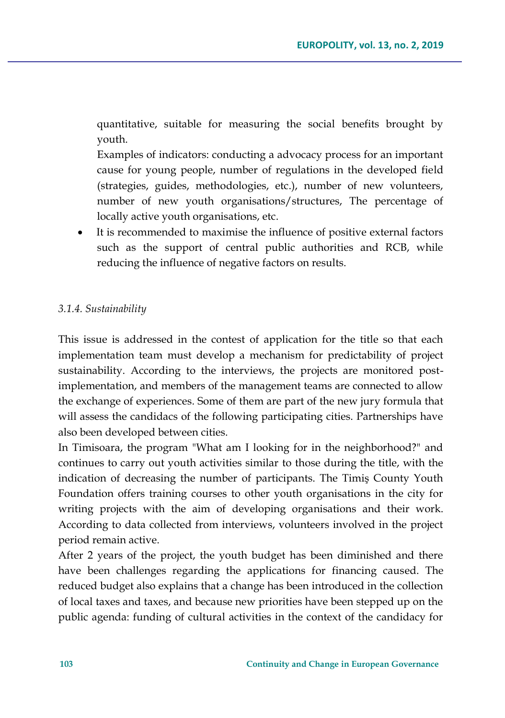quantitative, suitable for measuring the social benefits brought by youth.

Examples of indicators: conducting a advocacy process for an important cause for young people, number of regulations in the developed field (strategies, guides, methodologies, etc.), number of new volunteers, number of new youth organisations/structures, The percentage of locally active youth organisations, etc.

 It is recommended to maximise the influence of positive external factors such as the support of central public authorities and RCB, while reducing the influence of negative factors on results.

## *3.1.4. Sustainability*

This issue is addressed in the contest of application for the title so that each implementation team must develop a mechanism for predictability of project sustainability. According to the interviews, the projects are monitored postimplementation, and members of the management teams are connected to allow the exchange of experiences. Some of them are part of the new jury formula that will assess the candidacs of the following participating cities. Partnerships have also been developed between cities.

In Timisoara, the program "What am I looking for in the neighborhood?" and continues to carry out youth activities similar to those during the title, with the indication of decreasing the number of participants. The Timiş County Youth Foundation offers training courses to other youth organisations in the city for writing projects with the aim of developing organisations and their work. According to data collected from interviews, volunteers involved in the project period remain active.

After 2 years of the project, the youth budget has been diminished and there have been challenges regarding the applications for financing caused. The reduced budget also explains that a change has been introduced in the collection of local taxes and taxes, and because new priorities have been stepped up on the public agenda: funding of cultural activities in the context of the candidacy for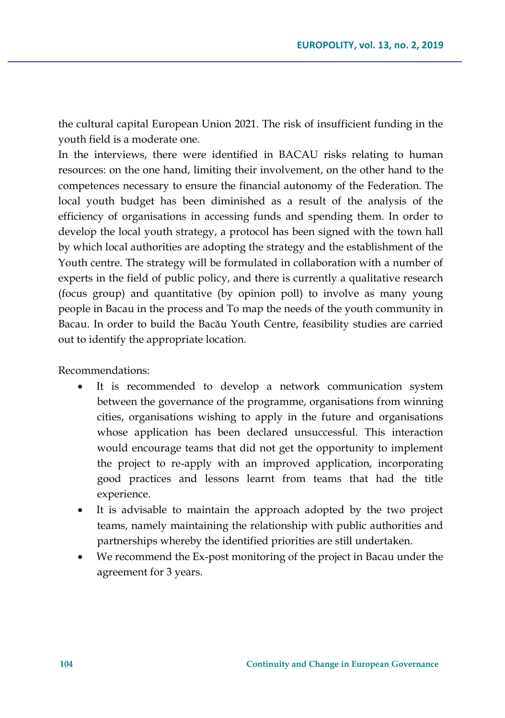the cultural capital European Union 2021. The risk of insufficient funding in the youth field is a moderate one.

In the interviews, there were identified in BACAU risks relating to human resources: on the one hand, limiting their involvement, on the other hand to the competences necessary to ensure the financial autonomy of the Federation. The local youth budget has been diminished as a result of the analysis of the efficiency of organisations in accessing funds and spending them. In order to develop the local youth strategy, a protocol has been signed with the town hall by which local authorities are adopting the strategy and the establishment of the Youth centre. The strategy will be formulated in collaboration with a number of experts in the field of public policy, and there is currently a qualitative research (focus group) and quantitative (by opinion poll) to involve as many young people in Bacau in the process and To map the needs of the youth community in Bacau. In order to build the Bacău Youth Centre, feasibility studies are carried out to identify the appropriate location.

Recommendations:

- It is recommended to develop a network communication system between the governance of the programme, organisations from winning cities, organisations wishing to apply in the future and organisations whose application has been declared unsuccessful. This interaction would encourage teams that did not get the opportunity to implement the project to re-apply with an improved application, incorporating good practices and lessons learnt from teams that had the title experience.
- It is advisable to maintain the approach adopted by the two project teams, namely maintaining the relationship with public authorities and partnerships whereby the identified priorities are still undertaken.
- We recommend the Ex-post monitoring of the project in Bacau under the agreement for 3 years.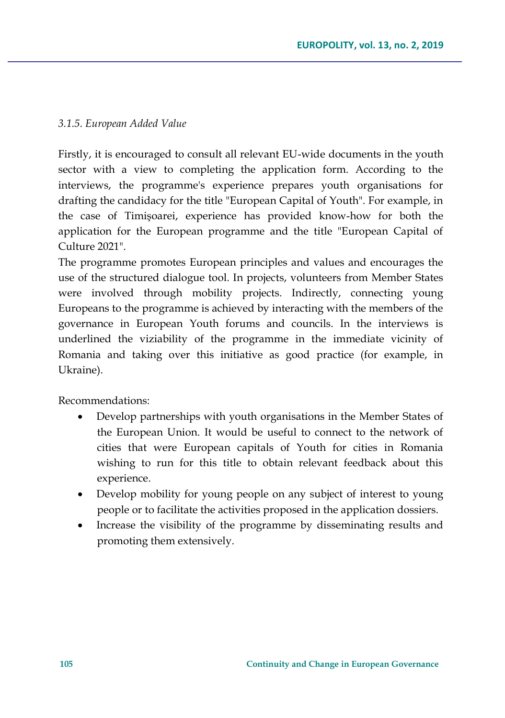## *3.1.5. European Added Value*

Firstly, it is encouraged to consult all relevant EU-wide documents in the youth sector with a view to completing the application form. According to the interviews, the programme's experience prepares youth organisations for drafting the candidacy for the title "European Capital of Youth". For example, in the case of Timişoarei, experience has provided know-how for both the application for the European programme and the title "European Capital of Culture 2021".

The programme promotes European principles and values and encourages the use of the structured dialogue tool. In projects, volunteers from Member States were involved through mobility projects. Indirectly, connecting young Europeans to the programme is achieved by interacting with the members of the governance in European Youth forums and councils. In the interviews is underlined the viziability of the programme in the immediate vicinity of Romania and taking over this initiative as good practice (for example, in Ukraine).

Recommendations:

- Develop partnerships with youth organisations in the Member States of the European Union. It would be useful to connect to the network of cities that were European capitals of Youth for cities in Romania wishing to run for this title to obtain relevant feedback about this experience.
- Develop mobility for young people on any subject of interest to young people or to facilitate the activities proposed in the application dossiers.
- Increase the visibility of the programme by disseminating results and promoting them extensively.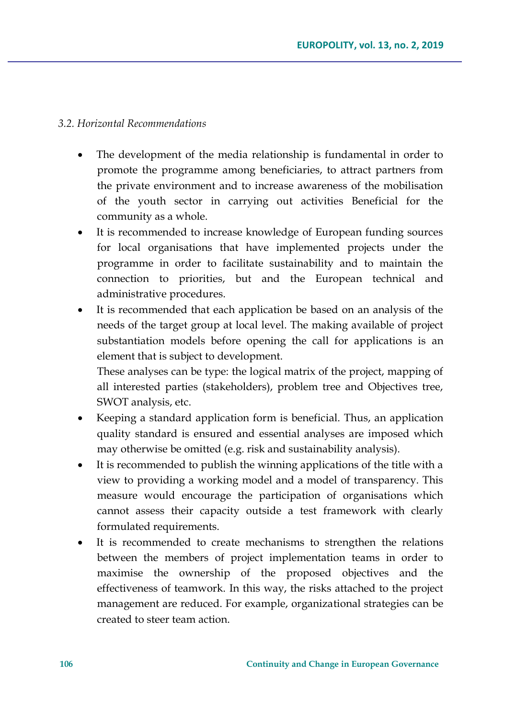### *3.2. Horizontal Recommendations*

- The development of the media relationship is fundamental in order to promote the programme among beneficiaries, to attract partners from the private environment and to increase awareness of the mobilisation of the youth sector in carrying out activities Beneficial for the community as a whole.
- It is recommended to increase knowledge of European funding sources for local organisations that have implemented projects under the programme in order to facilitate sustainability and to maintain the connection to priorities, but and the European technical and administrative procedures.
- It is recommended that each application be based on an analysis of the needs of the target group at local level. The making available of project substantiation models before opening the call for applications is an element that is subject to development.

These analyses can be type: the logical matrix of the project, mapping of all interested parties (stakeholders), problem tree and Objectives tree, SWOT analysis, etc.

- Keeping a standard application form is beneficial. Thus, an application quality standard is ensured and essential analyses are imposed which may otherwise be omitted (e.g. risk and sustainability analysis).
- It is recommended to publish the winning applications of the title with a view to providing a working model and a model of transparency. This measure would encourage the participation of organisations which cannot assess their capacity outside a test framework with clearly formulated requirements.
- It is recommended to create mechanisms to strengthen the relations between the members of project implementation teams in order to maximise the ownership of the proposed objectives and the effectiveness of teamwork. In this way, the risks attached to the project management are reduced. For example, organizational strategies can be created to steer team action.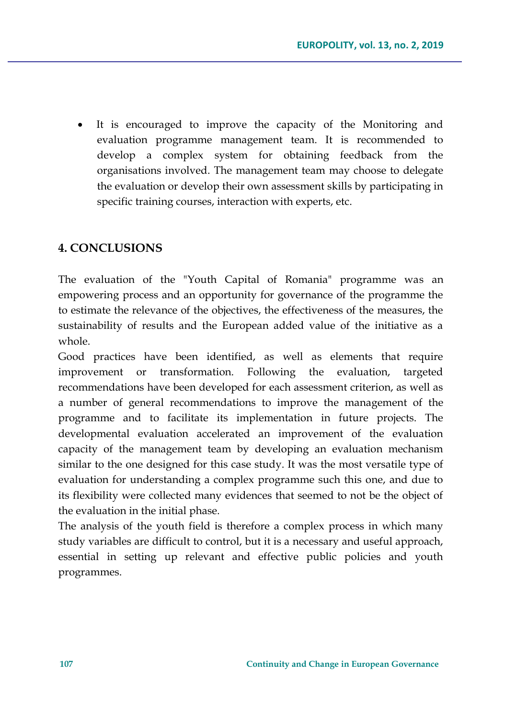It is encouraged to improve the capacity of the Monitoring and evaluation programme management team. It is recommended to develop a complex system for obtaining feedback from the organisations involved. The management team may choose to delegate the evaluation or develop their own assessment skills by participating in specific training courses, interaction with experts, etc.

## **4. CONCLUSIONS**

The evaluation of the "Youth Capital of Romania" programme was an empowering process and an opportunity for governance of the programme the to estimate the relevance of the objectives, the effectiveness of the measures, the sustainability of results and the European added value of the initiative as a whole.

Good practices have been identified, as well as elements that require improvement or transformation. Following the evaluation, targeted recommendations have been developed for each assessment criterion, as well as a number of general recommendations to improve the management of the programme and to facilitate its implementation in future projects. The developmental evaluation accelerated an improvement of the evaluation capacity of the management team by developing an evaluation mechanism similar to the one designed for this case study. It was the most versatile type of evaluation for understanding a complex programme such this one, and due to its flexibility were collected many evidences that seemed to not be the object of the evaluation in the initial phase.

The analysis of the youth field is therefore a complex process in which many study variables are difficult to control, but it is a necessary and useful approach, essential in setting up relevant and effective public policies and youth programmes.